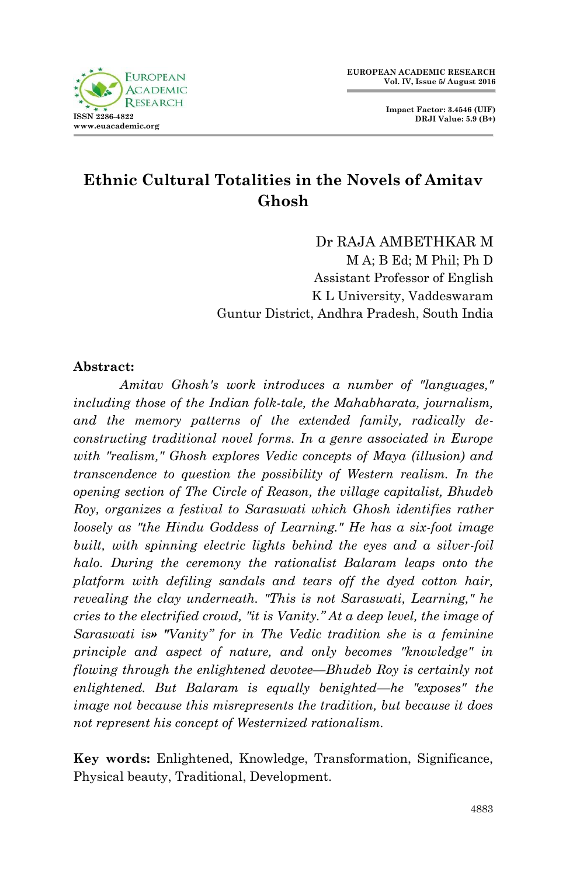

**Impact Factor: 3.4546 (UIF) DRJI Value: 5.9 (B+)**

## **Ethnic Cultural Totalities in the Novels of Amitav Ghosh**

Dr RAJA AMBETHKAR M M A; B Ed; M Phil; Ph D Assistant Professor of English K L University, Vaddeswaram Guntur District, Andhra Pradesh, South India

## **Abstract:**

*Amitav Ghosh's work introduces a number of "languages," including those of the Indian folk-tale, the Mahabharata, journalism, and the memory patterns of the extended family, radically deconstructing traditional novel forms. In a genre associated in Europe with "realism," Ghosh explores Vedic concepts of Maya (illusion) and transcendence to question the possibility of Western realism. In the opening section of The Circle of Reason, the village capitalist, Bhudeb Roy, organizes a festival to Saraswati which Ghosh identifies rather loosely as "the Hindu Goddess of Learning." He has a six-foot image built, with spinning electric lights behind the eyes and a silver-foil halo. During the ceremony the rationalist Balaram leaps onto the platform with defiling sandals and tears off the dyed cotton hair, revealing the clay underneath. "This is not Saraswati, Learning," he cries to the electrified crowd, "it is Vanity." At a deep level, the image of Saraswati is» "Vanity" for in The Vedic tradition she is a feminine principle and aspect of nature, and only becomes "knowledge" in flowing through the enlightened devotee—Bhudeb Roy is certainly not enlightened. But Balaram is equally benighted—he "exposes" the image not because this misrepresents the tradition, but because it does not represent his concept of Westernized rationalism.*

**Key words:** Enlightened, Knowledge, Transformation, Significance, Physical beauty, Traditional, Development.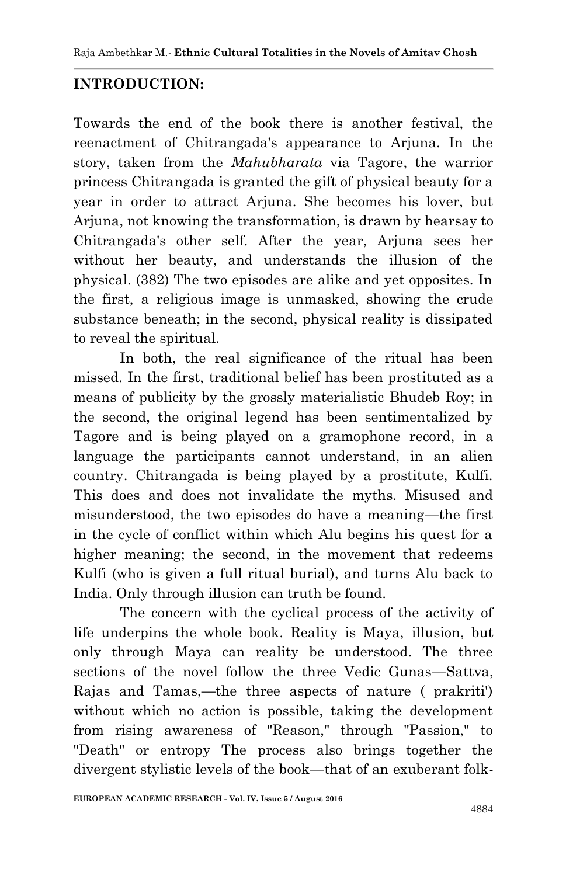## **INTRODUCTION:**

Towards the end of the book there is another festival, the reenactment of Chitrangada's appearance to Arjuna. In the story, taken from the *Mahubharata* via Tagore, the warrior princess Chitrangada is granted the gift of physical beauty for a year in order to attract Arjuna. She becomes his lover, but Arjuna, not knowing the transformation, is drawn by hearsay to Chitrangada's other self. After the year, Arjuna sees her without her beauty, and understands the illusion of the physical. (382) The two episodes are alike and yet opposites. In the first, a religious image is unmasked, showing the crude substance beneath; in the second, physical reality is dissipated to reveal the spiritual.

In both, the real significance of the ritual has been missed. In the first, traditional belief has been prostituted as a means of publicity by the grossly materialistic Bhudeb Roy; in the second, the original legend has been sentimentalized by Tagore and is being played on a gramophone record, in a language the participants cannot understand, in an alien country. Chitrangada is being played by a prostitute, Kulfi. This does and does not invalidate the myths. Misused and misunderstood, the two episodes do have a meaning—the first in the cycle of conflict within which Alu begins his quest for a higher meaning; the second, in the movement that redeems Kulfi (who is given a full ritual burial), and turns Alu back to India. Only through illusion can truth be found.

The concern with the cyclical process of the activity of life underpins the whole book. Reality is Maya, illusion, but only through Maya can reality be understood. The three sections of the novel follow the three Vedic Gunas—Sattva, Rajas and Tamas,—the three aspects of nature ( prakriti') without which no action is possible, taking the development from rising awareness of "Reason," through "Passion," to "Death" or entropy The process also brings together the divergent stylistic levels of the book**—**that of an exuberant folk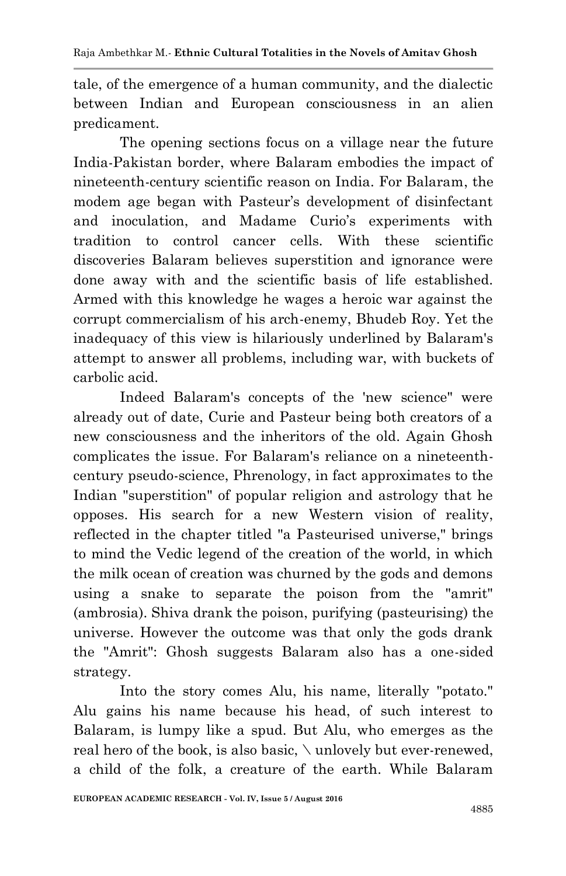tale, of the emergence of a human community, and the dialectic between Indian and European consciousness in an alien predicament.

The opening sections focus on a village near the future India-Pakistan border, where Balaram embodies the impact of nineteenth-century scientific reason on India. For Balaram, the modem age began with Pasteur's development of disinfectant and inoculation, and Madame Curio's experiments with tradition to control cancer cells. With these scientific discoveries Balaram believes superstition and ignorance were done away with and the scientific basis of life established. Armed with this knowledge he wages a heroic war against the corrupt commercialism of his arch-enemy, Bhudeb Roy. Yet the inadequacy of this view is hilariously underlined by Balaram's attempt to answer all problems, including war, with buckets of carbolic acid.

Indeed Balaram's concepts of the 'new science" were already out of date, Curie and Pasteur being both creators of a new consciousness and the inheritors of the old. Again Ghosh complicates the issue. For Balaram's reliance on a nineteenthcentury pseudo-science, Phrenology, in fact approximates to the Indian "superstition" of popular religion and astrology that he opposes. His search for a new Western vision of reality, reflected in the chapter titled "a Pasteurised universe," brings to mind the Vedic legend of the creation of the world, in which the milk ocean of creation was churned by the gods and demons using a snake to separate the poison from the "amrit" (ambrosia). Shiva drank the poison, purifying (pasteurising) the universe. However the outcome was that only the gods drank the "Amrit": Ghosh suggests Balaram also has a one-sided strategy.

Into the story comes Alu, his name, literally "potato." Alu gains his name because his head, of such interest to Balaram, is lumpy like a spud. But Alu, who emerges as the real hero of the book, is also basic, \ unlovely but ever-renewed, a child of the folk, a creature of the earth. While Balaram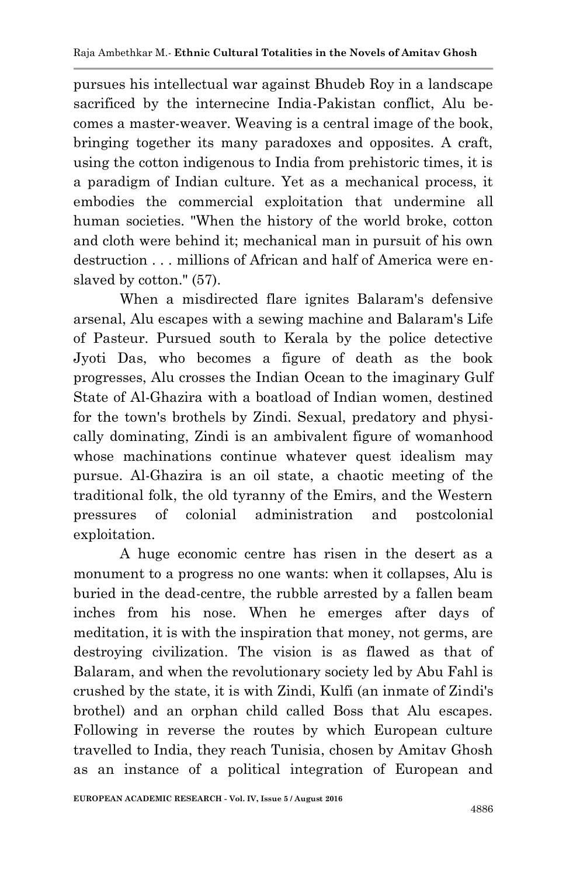pursues his intellectual war against Bhudeb Roy in a landscape sacrificed by the internecine India-Pakistan conflict, Alu becomes a master-weaver. Weaving is a central image of the book, bringing together its many paradoxes and opposites. A craft, using the cotton indigenous to India from prehistoric times, it is a paradigm of Indian culture. Yet as a mechanical process, it embodies the commercial exploitation that undermine all human societies. "When the history of the world broke, cotton and cloth were behind it; mechanical man in pursuit of his own destruction . . . millions of African and half of America were enslaved by cotton." (57).

When a misdirected flare ignites Balaram's defensive arsenal, Alu escapes with a sewing machine and Balaram's Life of Pasteur. Pursued south to Kerala by the police detective Jyoti Das, who becomes a figure of death as the book progresses, Alu crosses the Indian Ocean to the imaginary Gulf State of Al-Ghazira with a boatload of Indian women, destined for the town's brothels by Zindi. Sexual, predatory and physically dominating, Zindi is an ambivalent figure of womanhood whose machinations continue whatever quest idealism may pursue. Al-Ghazira is an oil state, a chaotic meeting of the traditional folk, the old tyranny of the Emirs, and the Western pressures of colonial administration and postcolonial exploitation.

A huge economic centre has risen in the desert as a monument to a progress no one wants: when it collapses, Alu is buried in the dead-centre, the rubble arrested by a fallen beam inches from his nose. When he emerges after days of meditation, it is with the inspiration that money, not germs, are destroying civilization. The vision is as flawed as that of Balaram, and when the revolutionary society led by Abu Fahl is crushed by the state, it is with Zindi, Kulfi (an inmate of Zindi's brothel) and an orphan child called Boss that Alu escapes. Following in reverse the routes by which European culture travelled to India, they reach Tunisia, chosen by Amitav Ghosh as an instance of a political integration of European and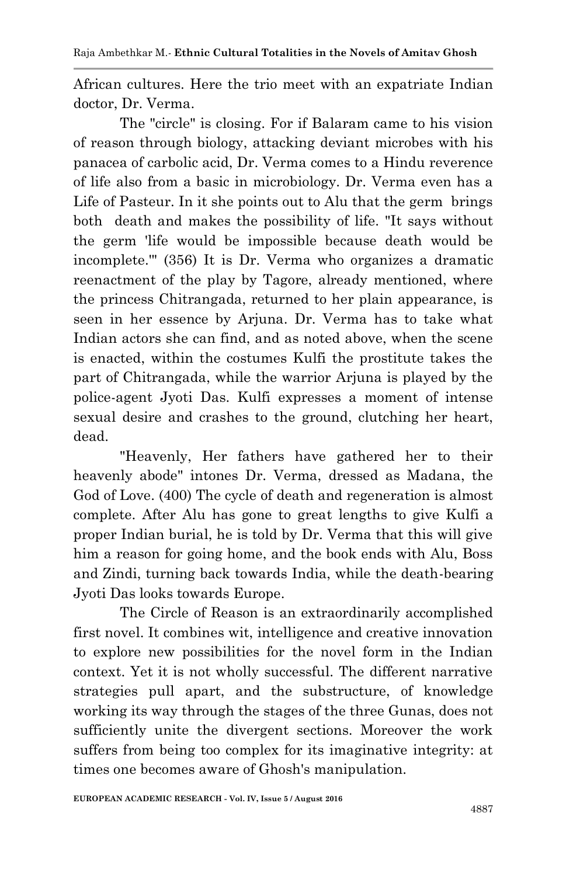African cultures. Here the trio meet with an expatriate Indian doctor, Dr. Verma.

The "circle" is closing. For if Balaram came to his vision of reason through biology, attacking deviant microbes with his panacea of carbolic acid, Dr. Verma comes to a Hindu reverence of life also from a basic in microbiology. Dr. Verma even has a Life of Pasteur. In it she points out to Alu that the germ brings both death and makes the possibility of life. "It says without the germ 'life would be impossible because death would be incomplete.'" (356) It is Dr. Verma who organizes a dramatic reenactment of the play by Tagore, already mentioned, where the princess Chitrangada, returned to her plain appearance, is seen in her essence by Arjuna. Dr. Verma has to take what Indian actors she can find, and as noted above, when the scene is enacted, within the costumes Kulfi the prostitute takes the part of Chitrangada, while the warrior Arjuna is played by the police-agent Jyoti Das. Kulfi expresses a moment of intense sexual desire and crashes to the ground, clutching her heart, dead.

"Heavenly, Her fathers have gathered her to their heavenly abode" intones Dr. Verma, dressed as Madana, the God of Love. (400) The cycle of death and regeneration is almost complete. After Alu has gone to great lengths to give Kulfi a proper Indian burial, he is told by Dr. Verma that this will give him a reason for going home, and the book ends with Alu, Boss and Zindi, turning back towards India, while the death-bearing Jyoti Das looks towards Europe.

The Circle of Reason is an extraordinarily accomplished first novel. It combines wit, intelligence and creative innovation to explore new possibilities for the novel form in the Indian context. Yet it is not wholly successful. The different narrative strategies pull apart, and the substructure, of knowledge working its way through the stages of the three Gunas, does not sufficiently unite the divergent sections. Moreover the work suffers from being too complex for its imaginative integrity: at times one becomes aware of Ghosh's manipulation.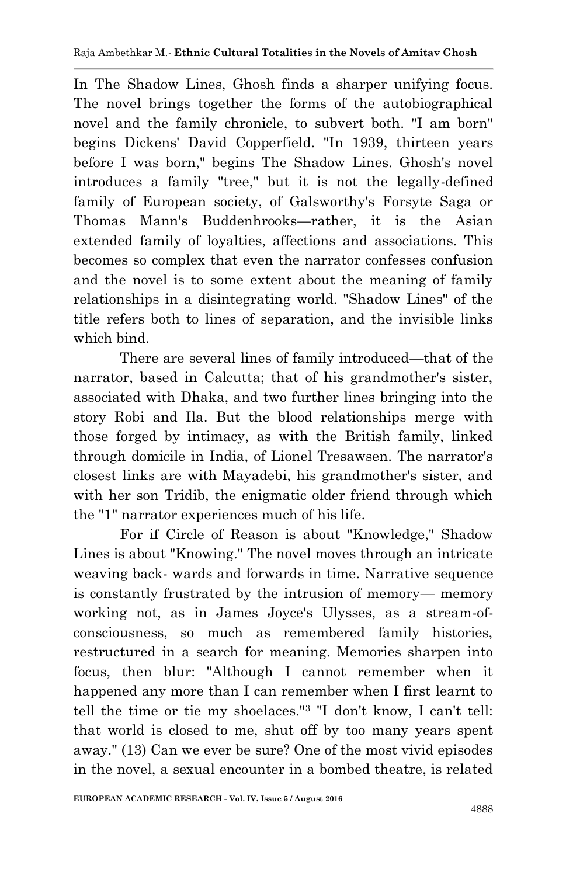In The Shadow Lines, Ghosh finds a sharper unifying focus. The novel brings together the forms of the autobiographical novel and the family chronicle, to subvert both. "I am born" begins Dickens' David Copperfield. "In 1939, thirteen years before I was born," begins The Shadow Lines. Ghosh's novel introduces a family "tree," but it is not the legally-defined family of European society, of Galsworthy's Forsyte Saga or Thomas Mann's Buddenhrooks—rather, it is the Asian extended family of loyalties, affections and associations. This becomes so complex that even the narrator confesses confusion and the novel is to some extent about the meaning of family relationships in a disintegrating world. "Shadow Lines" of the title refers both to lines of separation, and the invisible links which bind.

There are several lines of family introduced—that of the narrator, based in Calcutta; that of his grandmother's sister, associated with Dhaka, and two further lines bringing into the story Robi and Ila. But the blood relationships merge with those forged by intimacy, as with the British family, linked through domicile in India, of Lionel Tresawsen. The narrator's closest links are with Mayadebi, his grandmother's sister, and with her son Tridib, the enigmatic older friend through which the "1" narrator experiences much of his life.

For if Circle of Reason is about "Knowledge," Shadow Lines is about "Knowing." The novel moves through an intricate weaving back- wards and forwards in time. Narrative sequence is constantly frustrated by the intrusion of memory— memory working not, as in James Joyce's Ulysses, as a stream-ofconsciousness, so much as remembered family histories, restructured in a search for meaning. Memories sharpen into focus, then blur: "Although I cannot remember when it happened any more than I can remember when I first learnt to tell the time or tie my shoelaces."<sup>3</sup> "I don't know, I can't tell: that world is closed to me, shut off by too many years spent away." (13) Can we ever be sure? One of the most vivid episodes in the novel, a sexual encounter in a bombed theatre, is related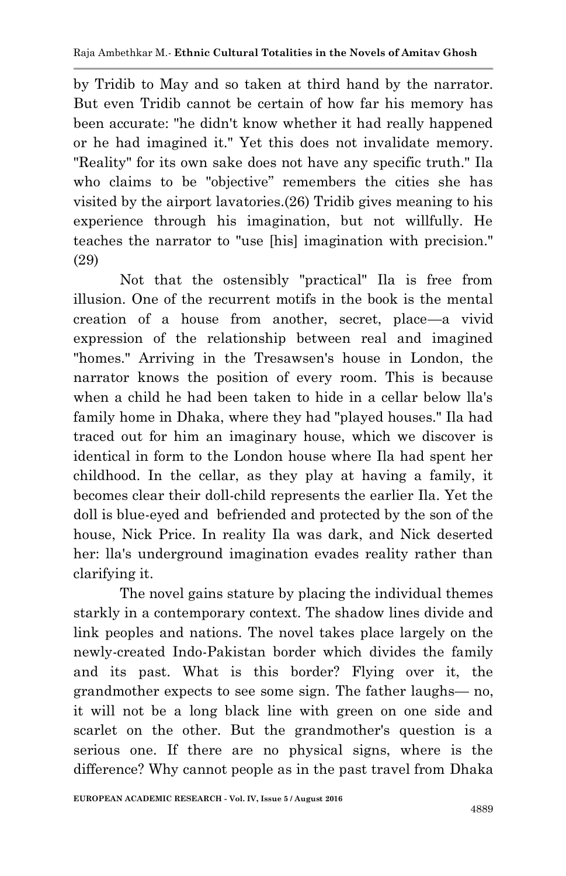by Tridib to May and so taken at third hand by the narrator. But even Tridib cannot be certain of how far his memory has been accurate: "he didn't know whether it had really happened or he had imagined it." Yet this does not invalidate memory. "Reality" for its own sake does not have any specific truth." Ila who claims to be "objective" remembers the cities she has visited by the airport lavatories.(26) Tridib gives meaning to his experience through his imagination, but not willfully. He teaches the narrator to "use [his] imagination with precision." (29)

Not that the ostensibly "practical" Ila is free from illusion. One of the recurrent motifs in the book is the mental creation of a house from another, secret, place—a vivid expression of the relationship between real and imagined "homes." Arriving in the Tresawsen's house in London, the narrator knows the position of every room. This is because when a child he had been taken to hide in a cellar below lla's family home in Dhaka, where they had "played houses." Ila had traced out for him an imaginary house, which we discover is identical in form to the London house where Ila had spent her childhood. In the cellar, as they play at having a family, it becomes clear their doll-child represents the earlier Ila. Yet the doll is blue-eyed and befriended and protected by the son of the house, Nick Price. In reality Ila was dark, and Nick deserted her: lla's underground imagination evades reality rather than clarifying it.

The novel gains stature by placing the individual themes starkly in a contemporary context. The shadow lines divide and link peoples and nations. The novel takes place largely on the newly-created Indo-Pakistan border which divides the family and its past. What is this border? Flying over it, the grandmother expects to see some sign. The father laughs— no, it will not be a long black line with green on one side and scarlet on the other. But the grandmother's question is a serious one. If there are no physical signs, where is the difference? Why cannot people as in the past travel from Dhaka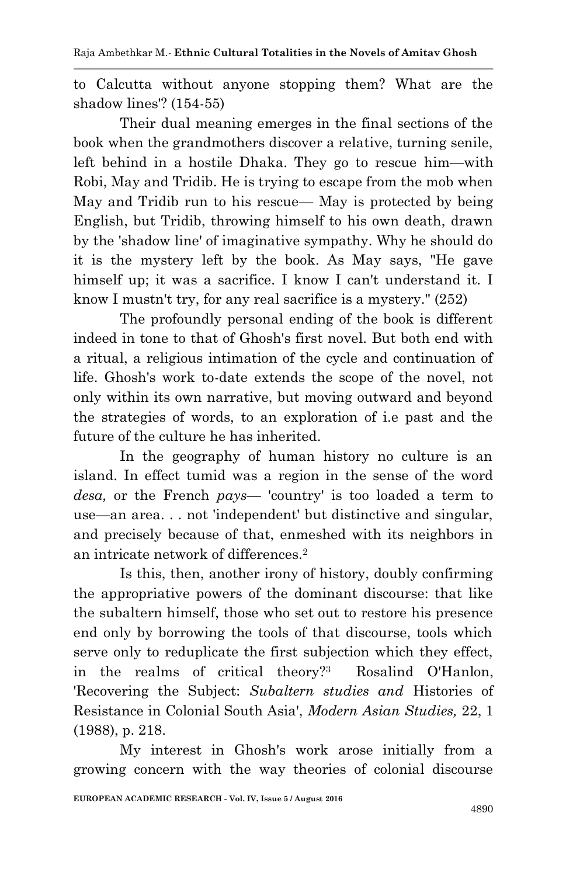to Calcutta without anyone stopping them? What are the shadow lines'? (154-55)

Their dual meaning emerges in the final sections of the book when the grandmothers discover a relative, turning senile, left behind in a hostile Dhaka. They go to rescue him—with Robi, May and Tridib. He is trying to escape from the mob when May and Tridib run to his rescue— May is protected by being English, but Tridib, throwing himself to his own death, drawn by the 'shadow line' of imaginative sympathy. Why he should do it is the mystery left by the book. As May says, "He gave himself up; it was a sacrifice. I know I can't understand it. I know I mustn't try, for any real sacrifice is a mystery." (252)

The profoundly personal ending of the book is different indeed in tone to that of Ghosh's first novel. But both end with a ritual, a religious intimation of the cycle and continuation of life. Ghosh's work to-date extends the scope of the novel, not only within its own narrative, but moving outward and beyond the strategies of words, to an exploration of i.e past and the future of the culture he has inherited.

In the geography of human history no culture is an island. In effect tumid was a region in the sense of the word *desa,* or the French *pays—* 'country' is too loaded a term to use—an area. . . not 'independent' but distinctive and singular, and precisely because of that, enmeshed with its neighbors in an intricate network of differences.<sup>2</sup>

Is this, then, another irony of history, doubly confirming the appropriative powers of the dominant discourse: that like the subaltern himself, those who set out to restore his presence end only by borrowing the tools of that discourse, tools which serve only to reduplicate the first subjection which they effect, in the realms of critical theory?<sup>3</sup> Rosalind O'Hanlon, 'Recovering the Subject: *Subaltern studies and* Histories of Resistance in Colonial South Asia', *Modern Asian Studies,* 22, 1 (1988), p. 218.

My interest in Ghosh's work arose initially from a growing concern with the way theories of colonial discourse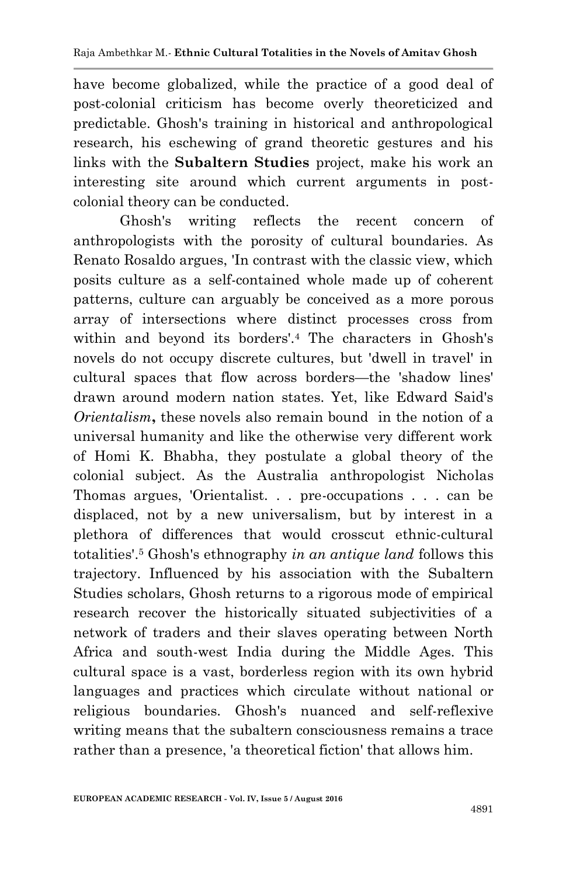have become globalized, while the practice of a good deal of post-colonial criticism has become overly theoreticized and predictable. Ghosh's training in historical and anthropological research, his eschewing of grand theoretic gestures and his links with the **Subaltern Studies** project, make his work an interesting site around which current arguments in postcolonial theory can be conducted.

Ghosh's writing reflects the recent concern of anthropologists with the porosity of cultural boundaries. As Renato Rosaldo argues, 'In contrast with the classic view, which posits culture as a self-contained whole made up of coherent patterns, culture can arguably be conceived as a more porous array of intersections where distinct processes cross from within and beyond its borders'.<sup>4</sup> The characters in Ghosh's novels do not occupy discrete cultures, but 'dwell in travel' in cultural spaces that flow across borders—the 'shadow lines' drawn around modern nation states. Yet, like Edward Said's *Orientalism***,** these novels also remain bound in the notion of a universal humanity and like the otherwise very different work of Homi K. Bhabha, they postulate a global theory of the colonial subject. As the Australia anthropologist Nicholas Thomas argues, 'Orientalist. . . pre-occupations . . . can be displaced, not by a new universalism, but by interest in a plethora of differences that would crosscut ethnic-cultural totalities'.<sup>5</sup> Ghosh's ethnography *in an antique land* follows this trajectory. Influenced by his association with the Subaltern Studies scholars, Ghosh returns to a rigorous mode of empirical research recover the historically situated subjectivities of a network of traders and their slaves operating between North Africa and south-west India during the Middle Ages. This cultural space is a vast, borderless region with its own hybrid languages and practices which circulate without national or religious boundaries. Ghosh's nuanced and self-reflexive writing means that the subaltern consciousness remains a trace rather than a presence, 'a theoretical fiction' that allows him.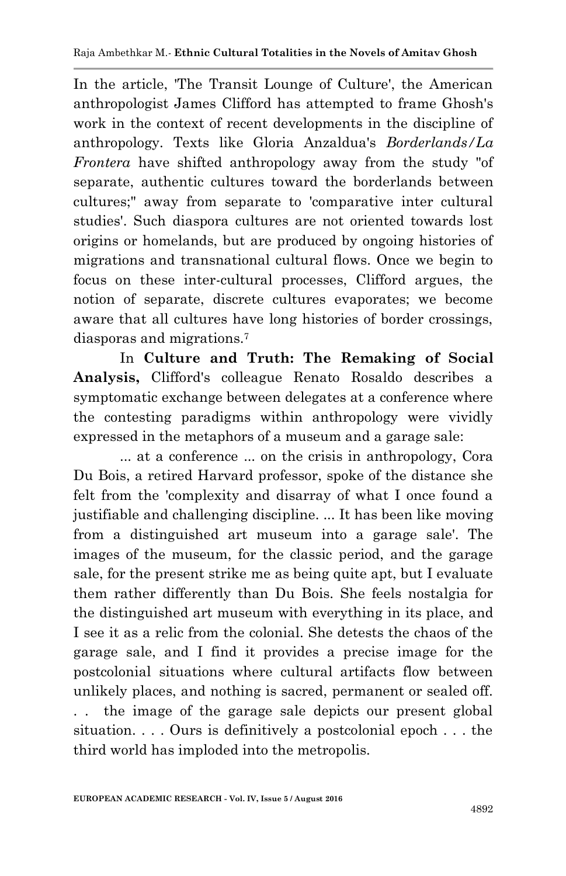In the article, 'The Transit Lounge of Culture', the American anthropologist James Clifford has attempted to frame Ghosh's work in the context of recent developments in the discipline of anthropology. Texts like Gloria Anzaldua's *Borderlands/La Frontera* have shifted anthropology away from the study "of separate, authentic cultures toward the borderlands between cultures;" away from separate to 'comparative inter cultural studies'. Such diaspora cultures are not oriented towards lost origins or homelands, but are produced by ongoing histories of migrations and transnational cultural flows. Once we begin to focus on these inter-cultural processes, Clifford argues, the notion of separate, discrete cultures evaporates; we become aware that all cultures have long histories of border crossings, diasporas and migrations.<sup>7</sup>

In **Culture and Truth: The Remaking of Social Analysis,** Clifford's colleague Renato Rosaldo describes a symptomatic exchange between delegates at a conference where the contesting paradigms within anthropology were vividly expressed in the metaphors of a museum and a garage sale:

... at a conference ... on the crisis in anthropology, Cora Du Bois, a retired Harvard professor, spoke of the distance she felt from the 'complexity and disarray of what I once found a justifiable and challenging discipline. ... It has been like moving from a distinguished art museum into a garage sale'. The images of the museum, for the classic period, and the garage sale, for the present strike me as being quite apt, but I evaluate them rather differently than Du Bois. She feels nostalgia for the distinguished art museum with everything in its place, and I see it as a relic from the colonial. She detests the chaos of the garage sale, and I find it provides a precise image for the postcolonial situations where cultural artifacts flow between unlikely places, and nothing is sacred, permanent or sealed off. . . the image of the garage sale depicts our present global situation. . . . Ours is definitively a postcolonial epoch . . . the third world has imploded into the metropolis.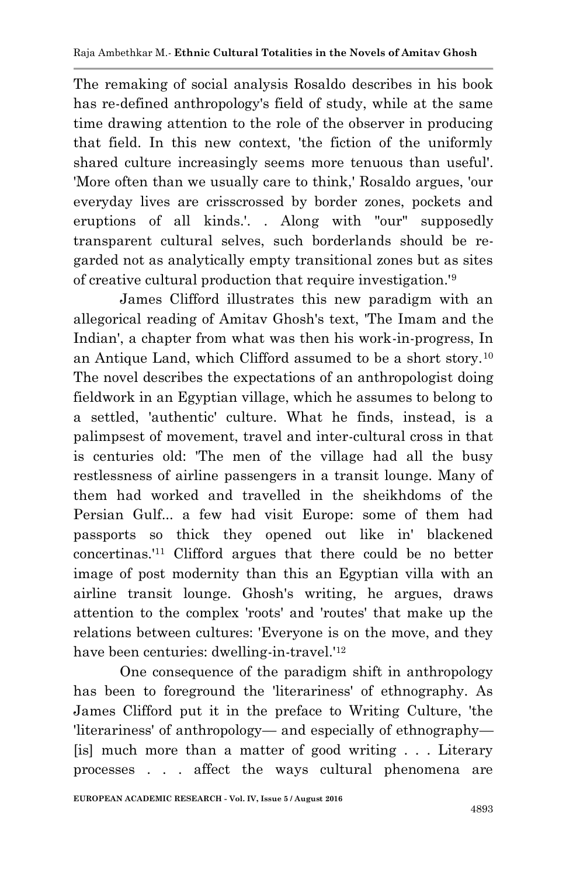The remaking of social analysis Rosaldo describes in his book has re-defined anthropology's field of study, while at the same time drawing attention to the role of the observer in producing that field. In this new context, 'the fiction of the uniformly shared culture increasingly seems more tenuous than useful'. 'More often than we usually care to think,' Rosaldo argues, 'our everyday lives are crisscrossed by border zones, pockets and eruptions of all kinds.'. . Along with "our" supposedly transparent cultural selves, such borderlands should be regarded not as analytically empty transitional zones but as sites of creative cultural production that require investigation.'<sup>9</sup>

James Clifford illustrates this new paradigm with an allegorical reading of Amitav Ghosh's text, 'The Imam and the Indian', a chapter from what was then his work-in-progress, In an Antique Land, which Clifford assumed to be a short story.<sup>10</sup> The novel describes the expectations of an anthropologist doing fieldwork in an Egyptian village, which he assumes to belong to a settled, 'authentic' culture. What he finds, instead, is a palimpsest of movement, travel and inter-cultural cross in that is centuries old: 'The men of the village had all the busy restlessness of airline passengers in a transit lounge. Many of them had worked and travelled in the sheikhdoms of the Persian Gulf... a few had visit Europe: some of them had passports so thick they opened out like in' blackened concertinas.'<sup>11</sup> Clifford argues that there could be no better image of post modernity than this an Egyptian villa with an airline transit lounge. Ghosh's writing, he argues, draws attention to the complex 'roots' and 'routes' that make up the relations between cultures: 'Everyone is on the move, and they have been centuries: dwelling-in-travel.'<sup>12</sup>

One consequence of the paradigm shift in anthropology has been to foreground the 'literariness' of ethnography. As James Clifford put it in the preface to Writing Culture, 'the 'literariness' of anthropology— and especially of ethnography— [is] much more than a matter of good writing . . . Literary processes . . . affect the ways cultural phenomena are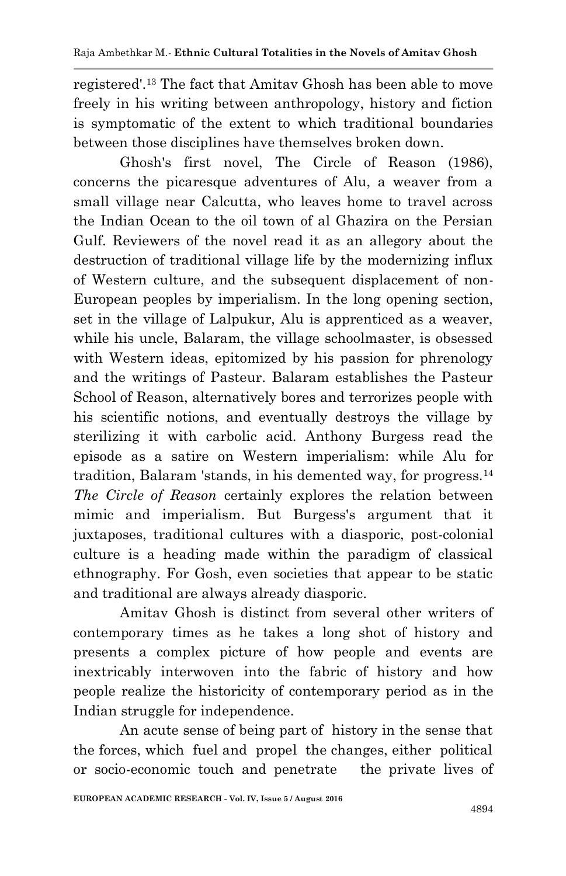registered'.<sup>13</sup> The fact that Amitav Ghosh has been able to move freely in his writing between anthropology, history and fiction is symptomatic of the extent to which traditional boundaries between those disciplines have themselves broken down.

Ghosh's first novel, The Circle of Reason (1986), concerns the picaresque adventures of Alu, a weaver from a small village near Calcutta, who leaves home to travel across the Indian Ocean to the oil town of al Ghazira on the Persian Gulf. Reviewers of the novel read it as an allegory about the destruction of traditional village life by the modernizing influx of Western culture, and the subsequent displacement of non-European peoples by imperialism. In the long opening section, set in the village of Lalpukur, Alu is apprenticed as a weaver, while his uncle, Balaram, the village schoolmaster, is obsessed with Western ideas, epitomized by his passion for phrenology and the writings of Pasteur. Balaram establishes the Pasteur School of Reason, alternatively bores and terrorizes people with his scientific notions, and eventually destroys the village by sterilizing it with carbolic acid. Anthony Burgess read the episode as a satire on Western imperialism: while Alu for tradition, Balaram 'stands, in his demented way, for progress.<sup>14</sup> *The Circle of Reason* certainly explores the relation between mimic and imperialism. But Burgess's argument that it juxtaposes, traditional cultures with a diasporic, post-colonial culture is a heading made within the paradigm of classical ethnography. For Gosh, even societies that appear to be static and traditional are always already diasporic.

Amitav Ghosh is distinct from several other writers of contemporary times as he takes a long shot of history and presents a complex picture of how people and events are inextricably interwoven into the fabric of history and how people realize the historicity of contemporary period as in the Indian struggle for independence.

An acute sense of being part of history in the sense that the forces, which fuel and propel the changes, either political or socio-economic touch and penetrate the private lives of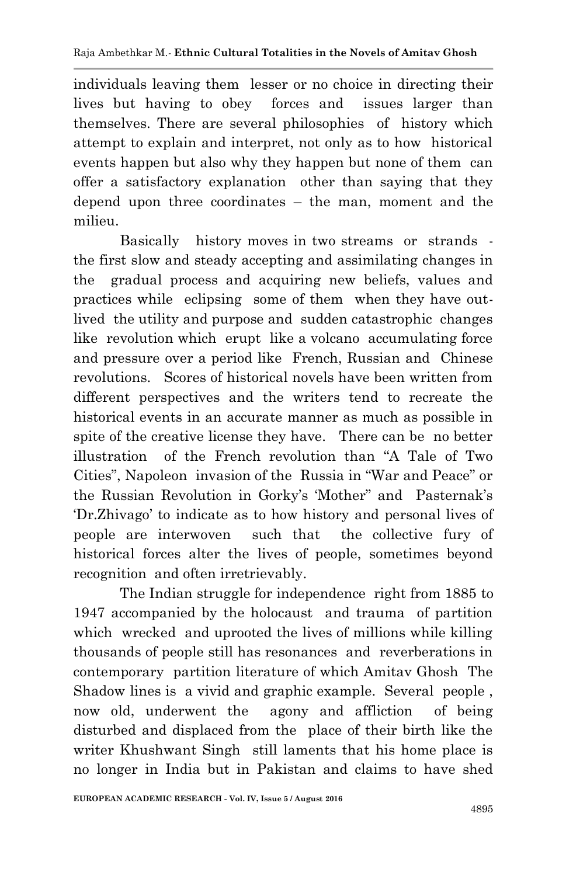individuals leaving them lesser or no choice in directing their lives but having to obey forces and issues larger than themselves. There are several philosophies of history which attempt to explain and interpret, not only as to how historical events happen but also why they happen but none of them can offer a satisfactory explanation other than saying that they depend upon three coordinates – the man, moment and the milieu.

Basically history moves in two streams or strands the first slow and steady accepting and assimilating changes in the gradual process and acquiring new beliefs, values and practices while eclipsing some of them when they have outlived the utility and purpose and sudden catastrophic changes like revolution which erupt like a volcano accumulating force and pressure over a period like French, Russian and Chinese revolutions. Scores of historical novels have been written from different perspectives and the writers tend to recreate the historical events in an accurate manner as much as possible in spite of the creative license they have. There can be no better illustration of the French revolution than ―A Tale of Two Cities", Napoleon invasion of the Russia in "War and Peace" or the Russian Revolution in Gorky's 'Mother" and Pasternak's ‗Dr.Zhivago' to indicate as to how history and personal lives of people are interwoven such that the collective fury of historical forces alter the lives of people, sometimes beyond recognition and often irretrievably.

The Indian struggle for independence right from 1885 to 1947 accompanied by the holocaust and trauma of partition which wrecked and uprooted the lives of millions while killing thousands of people still has resonances and reverberations in contemporary partition literature of which Amitav Ghosh The Shadow lines is a vivid and graphic example. Several people , now old, underwent the agony and affliction of being disturbed and displaced from the place of their birth like the writer Khushwant Singh still laments that his home place is no longer in India but in Pakistan and claims to have shed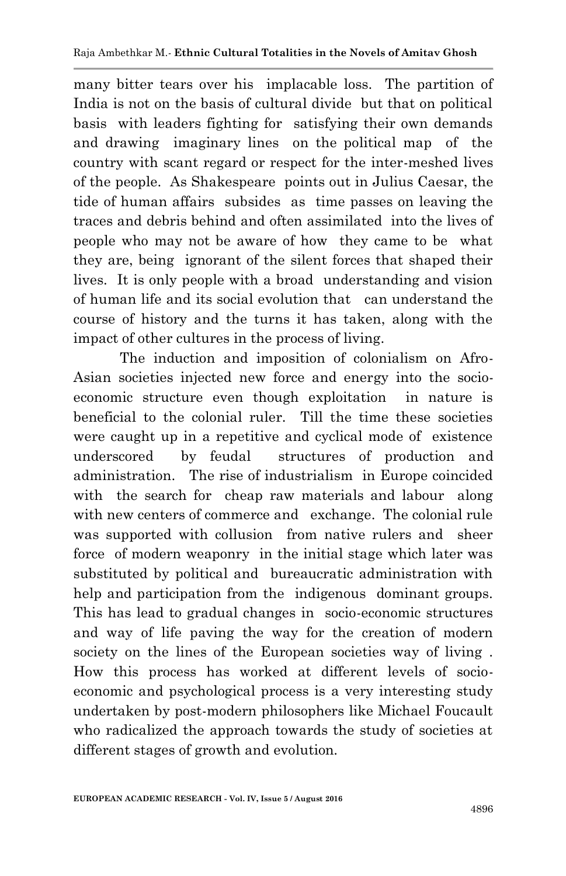many bitter tears over his implacable loss. The partition of India is not on the basis of cultural divide but that on political basis with leaders fighting for satisfying their own demands and drawing imaginary lines on the political map of the country with scant regard or respect for the inter-meshed lives of the people. As Shakespeare points out in Julius Caesar, the tide of human affairs subsides as time passes on leaving the traces and debris behind and often assimilated into the lives of people who may not be aware of how they came to be what they are, being ignorant of the silent forces that shaped their lives. It is only people with a broad understanding and vision of human life and its social evolution that can understand the course of history and the turns it has taken, along with the impact of other cultures in the process of living.

The induction and imposition of colonialism on Afro-Asian societies injected new force and energy into the socioeconomic structure even though exploitation in nature is beneficial to the colonial ruler. Till the time these societies were caught up in a repetitive and cyclical mode of existence underscored by feudal structures of production and administration. The rise of industrialism in Europe coincided with the search for cheap raw materials and labour along with new centers of commerce and exchange. The colonial rule was supported with collusion from native rulers and sheer force of modern weaponry in the initial stage which later was substituted by political and bureaucratic administration with help and participation from the indigenous dominant groups. This has lead to gradual changes in socio-economic structures and way of life paving the way for the creation of modern society on the lines of the European societies way of living . How this process has worked at different levels of socioeconomic and psychological process is a very interesting study undertaken by post-modern philosophers like Michael Foucault who radicalized the approach towards the study of societies at different stages of growth and evolution.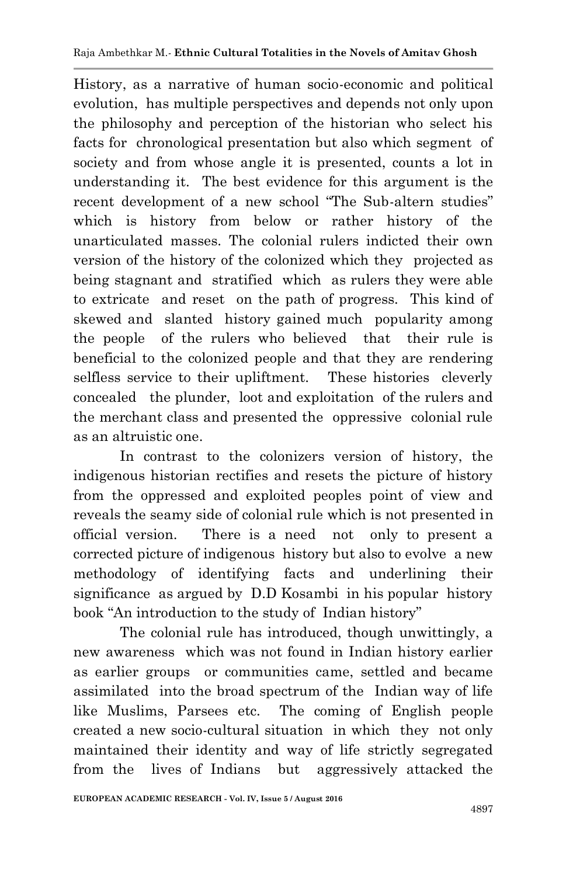History, as a narrative of human socio-economic and political evolution, has multiple perspectives and depends not only upon the philosophy and perception of the historian who select his facts for chronological presentation but also which segment of society and from whose angle it is presented, counts a lot in understanding it. The best evidence for this argument is the recent development of a new school "The Sub-altern studies" which is history from below or rather history of the unarticulated masses. The colonial rulers indicted their own version of the history of the colonized which they projected as being stagnant and stratified which as rulers they were able to extricate and reset on the path of progress. This kind of skewed and slanted history gained much popularity among the people of the rulers who believed that their rule is beneficial to the colonized people and that they are rendering selfless service to their upliftment. These histories cleverly concealed the plunder, loot and exploitation of the rulers and the merchant class and presented the oppressive colonial rule as an altruistic one.

In contrast to the colonizers version of history, the indigenous historian rectifies and resets the picture of history from the oppressed and exploited peoples point of view and reveals the seamy side of colonial rule which is not presented in official version. There is a need not only to present a corrected picture of indigenous history but also to evolve a new methodology of identifying facts and underlining their significance as argued by D.D Kosambi in his popular history book "An introduction to the study of Indian history"

The colonial rule has introduced, though unwittingly, a new awareness which was not found in Indian history earlier as earlier groups or communities came, settled and became assimilated into the broad spectrum of the Indian way of life like Muslims, Parsees etc. The coming of English people created a new socio-cultural situation in which they not only maintained their identity and way of life strictly segregated from the lives of Indians but aggressively attacked the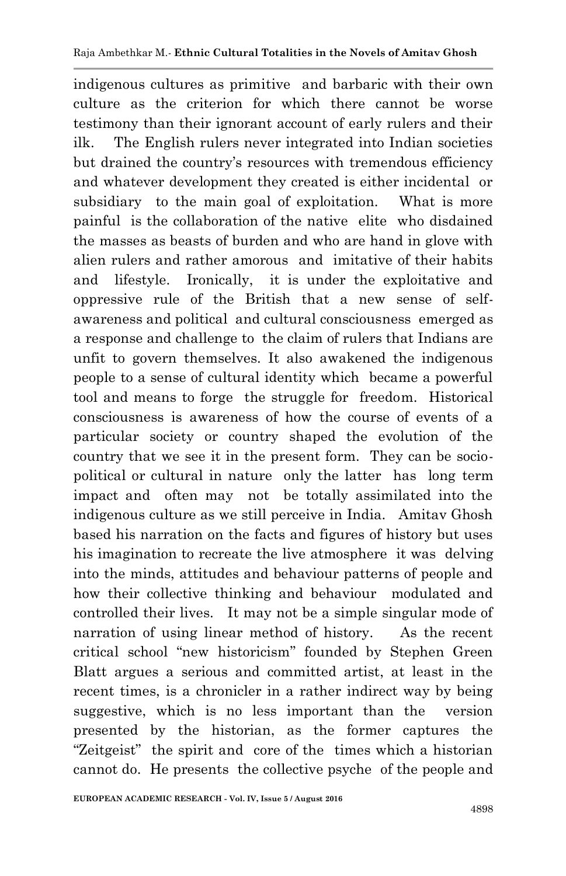indigenous cultures as primitive and barbaric with their own culture as the criterion for which there cannot be worse testimony than their ignorant account of early rulers and their ilk. The English rulers never integrated into Indian societies but drained the country's resources with tremendous efficiency and whatever development they created is either incidental or subsidiary to the main goal of exploitation. What is more painful is the collaboration of the native elite who disdained the masses as beasts of burden and who are hand in glove with alien rulers and rather amorous and imitative of their habits and lifestyle. Ironically, it is under the exploitative and oppressive rule of the British that a new sense of selfawareness and political and cultural consciousness emerged as a response and challenge to the claim of rulers that Indians are unfit to govern themselves. It also awakened the indigenous people to a sense of cultural identity which became a powerful tool and means to forge the struggle for freedom. Historical consciousness is awareness of how the course of events of a particular society or country shaped the evolution of the country that we see it in the present form. They can be sociopolitical or cultural in nature only the latter has long term impact and often may not be totally assimilated into the indigenous culture as we still perceive in India. Amitav Ghosh based his narration on the facts and figures of history but uses his imagination to recreate the live atmosphere it was delving into the minds, attitudes and behaviour patterns of people and how their collective thinking and behaviour modulated and controlled their lives. It may not be a simple singular mode of narration of using linear method of history. As the recent critical school "new historicism" founded by Stephen Green Blatt argues a serious and committed artist, at least in the recent times, is a chronicler in a rather indirect way by being suggestive, which is no less important than the version presented by the historian, as the former captures the ―Zeitgeist‖ the spirit and core of the times which a historian cannot do. He presents the collective psyche of the people and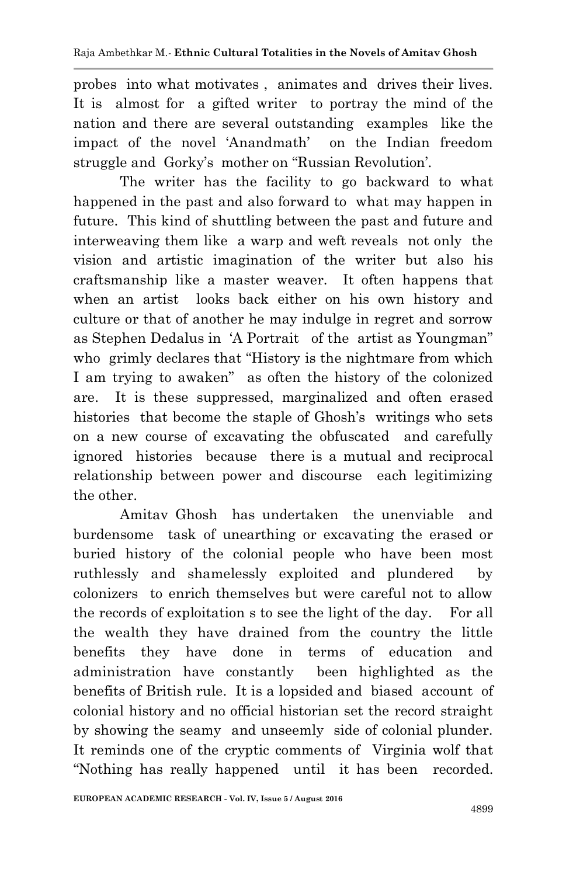probes into what motivates , animates and drives their lives. It is almost for a gifted writer to portray the mind of the nation and there are several outstanding examples like the impact of the novel ‗Anandmath' on the Indian freedom struggle and Gorky's mother on "Russian Revolution".

 The writer has the facility to go backward to what happened in the past and also forward to what may happen in future. This kind of shuttling between the past and future and interweaving them like a warp and weft reveals not only the vision and artistic imagination of the writer but also his craftsmanship like a master weaver. It often happens that when an artist looks back either on his own history and culture or that of another he may indulge in regret and sorrow as Stephen Dedalus in 'A Portrait of the artist as Youngman" who grimly declares that "History is the nightmare from which I am trying to awaken" as often the history of the colonized are. It is these suppressed, marginalized and often erased histories that become the staple of Ghosh's writings who sets on a new course of excavating the obfuscated and carefully ignored histories because there is a mutual and reciprocal relationship between power and discourse each legitimizing the other.

Amitav Ghosh has undertaken the unenviable and burdensome task of unearthing or excavating the erased or buried history of the colonial people who have been most ruthlessly and shamelessly exploited and plundered by colonizers to enrich themselves but were careful not to allow the records of exploitation s to see the light of the day. For all the wealth they have drained from the country the little benefits they have done in terms of education and administration have constantly been highlighted as the benefits of British rule. It is a lopsided and biased account of colonial history and no official historian set the record straight by showing the seamy and unseemly side of colonial plunder. It reminds one of the cryptic comments of Virginia wolf that ―Nothing has really happened until it has been recorded.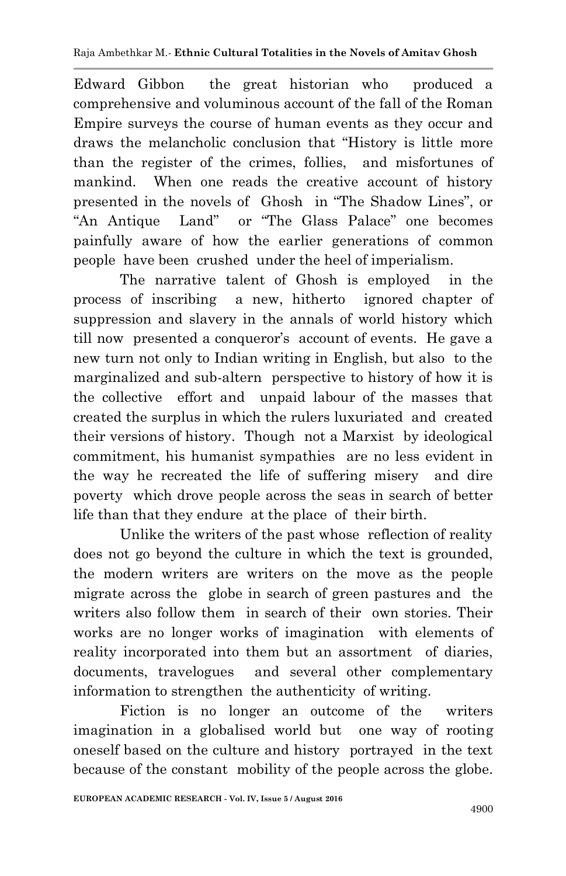Edward Gibbon the great historian who produced a comprehensive and voluminous account of the fall of the Roman Empire surveys the course of human events as they occur and draws the melancholic conclusion that "History is little more than the register of the crimes, follies, and misfortunes of mankind. When one reads the creative account of history presented in the novels of Ghosh in "The Shadow Lines", or "An Antique Land" or "The Glass Palace" one becomes painfully aware of how the earlier generations of common people have been crushed under the heel of imperialism.

The narrative talent of Ghosh is employed in the process of inscribing a new, hitherto ignored chapter of suppression and slavery in the annals of world history which till now presented a conqueror's account of events. He gave a new turn not only to Indian writing in English, but also to the marginalized and sub-altern perspective to history of how it is the collective effort and unpaid labour of the masses that created the surplus in which the rulers luxuriated and created their versions of history. Though not a Marxist by ideological commitment, his humanist sympathies are no less evident in the way he recreated the life of suffering misery and dire poverty which drove people across the seas in search of better life than that they endure at the place of their birth.

Unlike the writers of the past whose reflection of reality does not go beyond the culture in which the text is grounded, the modern writers are writers on the move as the people migrate across the globe in search of green pastures and the writers also follow them in search of their own stories. Their works are no longer works of imagination with elements of reality incorporated into them but an assortment of diaries, documents, travelogues and several other complementary information to strengthen the authenticity of writing.

Fiction is no longer an outcome of the writers imagination in a globalised world but one way of rooting oneself based on the culture and history portrayed in the text because of the constant mobility of the people across the globe.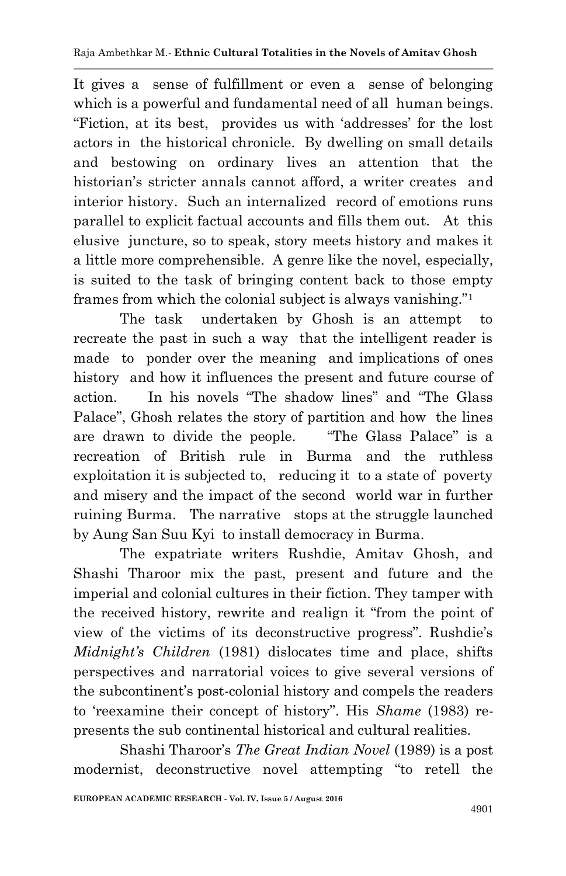It gives a sense of fulfillment or even a sense of belonging which is a powerful and fundamental need of all human beings. ―Fiction, at its best, provides us with ‗addresses' for the lost actors in the historical chronicle. By dwelling on small details and bestowing on ordinary lives an attention that the historian's stricter annals cannot afford, a writer creates and interior history. Such an internalized record of emotions runs parallel to explicit factual accounts and fills them out. At this elusive juncture, so to speak, story meets history and makes it a little more comprehensible. A genre like the novel, especially, is suited to the task of bringing content back to those empty frames from which the colonial subject is always vanishing."<sup>1</sup>

The task undertaken by Ghosh is an attempt to recreate the past in such a way that the intelligent reader is made to ponder over the meaning and implications of ones history and how it influences the present and future course of action. In his novels "The shadow lines" and "The Glass Palace", Ghosh relates the story of partition and how the lines are drawn to divide the people. ―The Glass Palace‖ is a recreation of British rule in Burma and the ruthless exploitation it is subjected to, reducing it to a state of poverty and misery and the impact of the second world war in further ruining Burma. The narrative stops at the struggle launched by Aung San Suu Kyi to install democracy in Burma.

The expatriate writers Rushdie, Amitav Ghosh, and Shashi Tharoor mix the past, present and future and the imperial and colonial cultures in their fiction. They tamper with the received history, rewrite and realign it "from the point of view of the victims of its deconstructive progress". Rushdie's *Midnight's Children* (1981) dislocates time and place, shifts perspectives and narratorial voices to give several versions of the subcontinent's post-colonial history and compels the readers to 'reexamine their concept of history". His *Shame* (1983) represents the sub continental historical and cultural realities.

Shashi Tharoor's *The Great Indian Novel* (1989) is a post modernist, deconstructive novel attempting "to retell the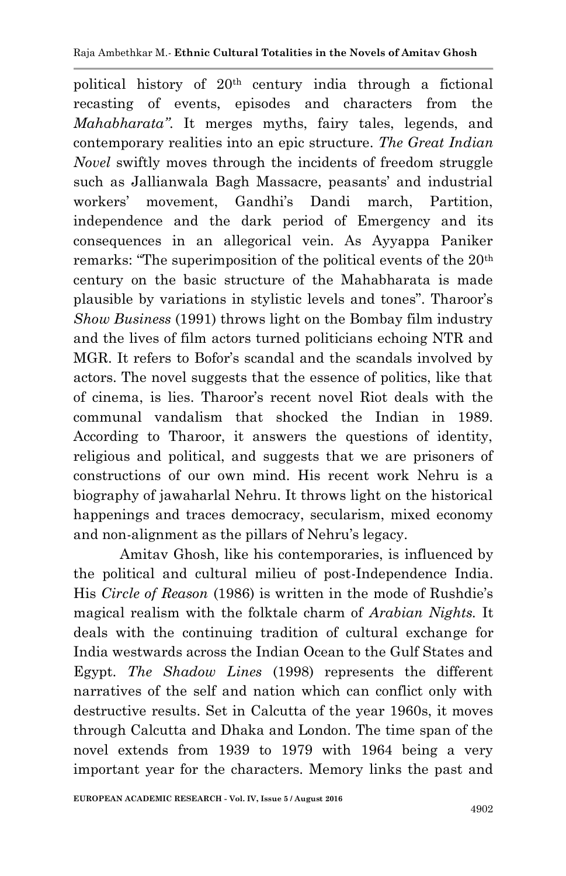political history of 20th century india through a fictional recasting of events, episodes and characters from the *Mahabharata"*. It merges myths, fairy tales, legends, and contemporary realities into an epic structure. *The Great Indian Novel* swiftly moves through the incidents of freedom struggle such as Jallianwala Bagh Massacre, peasants' and industrial workers' movement, Gandhi's Dandi march, Partition, independence and the dark period of Emergency and its consequences in an allegorical vein. As Ayyappa Paniker remarks: "The superimposition of the political events of the  $20<sup>th</sup>$ century on the basic structure of the Mahabharata is made plausible by variations in stylistic levels and tones". Tharoor's *Show Business* (1991) throws light on the Bombay film industry and the lives of film actors turned politicians echoing NTR and MGR. It refers to Bofor's scandal and the scandals involved by actors. The novel suggests that the essence of politics, like that of cinema, is lies. Tharoor's recent novel Riot deals with the communal vandalism that shocked the Indian in 1989. According to Tharoor, it answers the questions of identity, religious and political, and suggests that we are prisoners of constructions of our own mind. His recent work Nehru is a biography of jawaharlal Nehru. It throws light on the historical happenings and traces democracy, secularism, mixed economy and non-alignment as the pillars of Nehru's legacy.

Amitav Ghosh, like his contemporaries, is influenced by the political and cultural milieu of post-Independence India. His *Circle of Reason* (1986) is written in the mode of Rushdie's magical realism with the folktale charm of *Arabian Nights.* It deals with the continuing tradition of cultural exchange for India westwards across the Indian Ocean to the Gulf States and Egypt. *The Shadow Lines* (1998) represents the different narratives of the self and nation which can conflict only with destructive results. Set in Calcutta of the year 1960s, it moves through Calcutta and Dhaka and London. The time span of the novel extends from 1939 to 1979 with 1964 being a very important year for the characters. Memory links the past and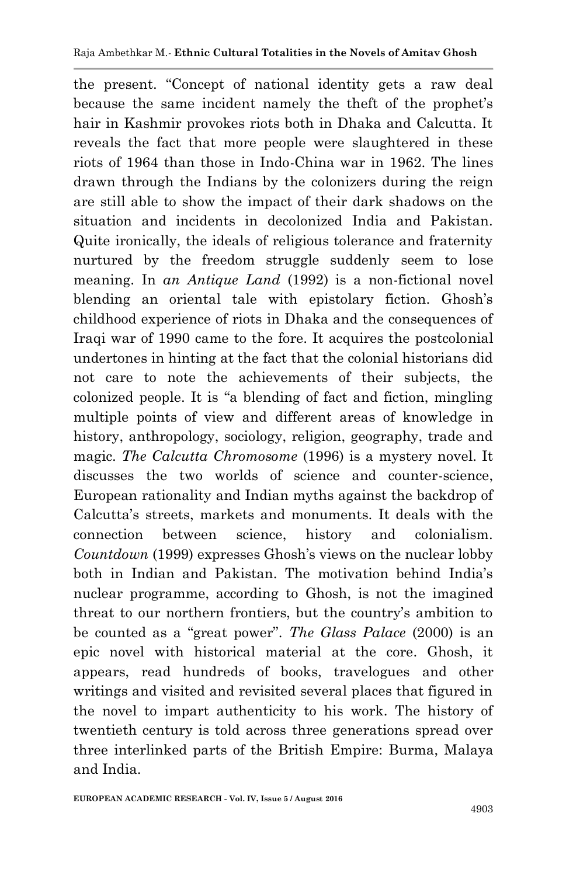the present. "Concept of national identity gets a raw deal because the same incident namely the theft of the prophet's hair in Kashmir provokes riots both in Dhaka and Calcutta. It reveals the fact that more people were slaughtered in these riots of 1964 than those in Indo-China war in 1962. The lines drawn through the Indians by the colonizers during the reign are still able to show the impact of their dark shadows on the situation and incidents in decolonized India and Pakistan. Quite ironically, the ideals of religious tolerance and fraternity nurtured by the freedom struggle suddenly seem to lose meaning. In *an Antique Land* (1992) is a non-fictional novel blending an oriental tale with epistolary fiction. Ghosh's childhood experience of riots in Dhaka and the consequences of Iraqi war of 1990 came to the fore. It acquires the postcolonial undertones in hinting at the fact that the colonial historians did not care to note the achievements of their subjects, the colonized people. It is "a blending of fact and fiction, mingling multiple points of view and different areas of knowledge in history, anthropology, sociology, religion, geography, trade and magic. *The Calcutta Chromosome* (1996) is a mystery novel. It discusses the two worlds of science and counter-science, European rationality and Indian myths against the backdrop of Calcutta's streets, markets and monuments. It deals with the connection between science, history and colonialism. *Countdown* (1999) expresses Ghosh's views on the nuclear lobby both in Indian and Pakistan. The motivation behind India's nuclear programme, according to Ghosh, is not the imagined threat to our northern frontiers, but the country's ambition to be counted as a "great power". *The Glass Palace* (2000) is an epic novel with historical material at the core. Ghosh, it appears, read hundreds of books, travelogues and other writings and visited and revisited several places that figured in the novel to impart authenticity to his work. The history of twentieth century is told across three generations spread over three interlinked parts of the British Empire: Burma, Malaya and India.